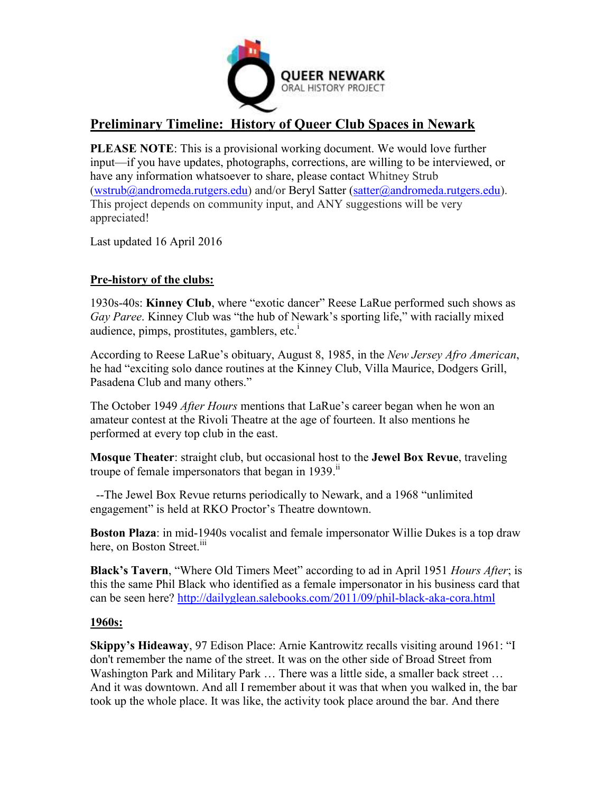

# **Preliminary Timeline: History of Queer Club Spaces in Newark**

**PLEASE NOTE**: This is a provisional working document. We would love further input—if you have updates, photographs, corrections, are willing to be interviewed, or have any information whatsoever to share, please contact Whitney Strub [\(wstrub@andromeda.rutgers.edu\)](mailto:wstrub@andromeda.rutgers.edu) and/or Beryl Satter [\(satter@andromeda.rutgers.edu\)](mailto:satter@andromeda.rutgers.edu). This project depends on community input, and ANY suggestions will be very appreciated!

Last updated 16 April 2016

# **Pre-history of the clubs:**

1930s-40s: **Kinney Club**, where "exotic dancer" Reese LaRue performed such shows as *Gay Paree*. Kinney Club was "the hub of Newark's sporting life," with racially mixed audience, pimps, prostitutes, gamblers, etc. $<sup>1</sup>$ </sup>

According to Reese LaRue's obituary, August 8, 1985, in the *New Jersey Afro American*, he had "exciting solo dance routines at the Kinney Club, Villa Maurice, Dodgers Grill, Pasadena Club and many others."

The October 1949 *After Hours* mentions that LaRue's career began when he won an amateur contest at the Rivoli Theatre at the age of fourteen. It also mentions he performed at every top club in the east.

**Mosque Theater**: straight club, but occasional host to the **Jewel Box Revue**, traveling troupe of female impersonators that began in  $1939$ .<sup>ii</sup>

 --The Jewel Box Revue returns periodically to Newark, and a 1968 "unlimited engagement" is held at RKO Proctor's Theatre downtown.

**Boston Plaza**: in mid-1940s vocalist and female impersonator Willie Dukes is a top draw here, on Boston Street.<sup>iii</sup>

**Black's Tavern**, "Where Old Timers Meet" according to ad in April 1951 *Hours After*; is this the same Phil Black who identified as a female impersonator in his business card that can be seen here?<http://dailyglean.salebooks.com/2011/09/phil-black-aka-cora.html>

# **1960s:**

**Skippy's Hideaway**, 97 Edison Place: Arnie Kantrowitz recalls visiting around 1961: "I don't remember the name of the street. It was on the other side of Broad Street from Washington Park and Military Park … There was a little side, a smaller back street … And it was downtown. And all I remember about it was that when you walked in, the bar took up the whole place. It was like, the activity took place around the bar. And there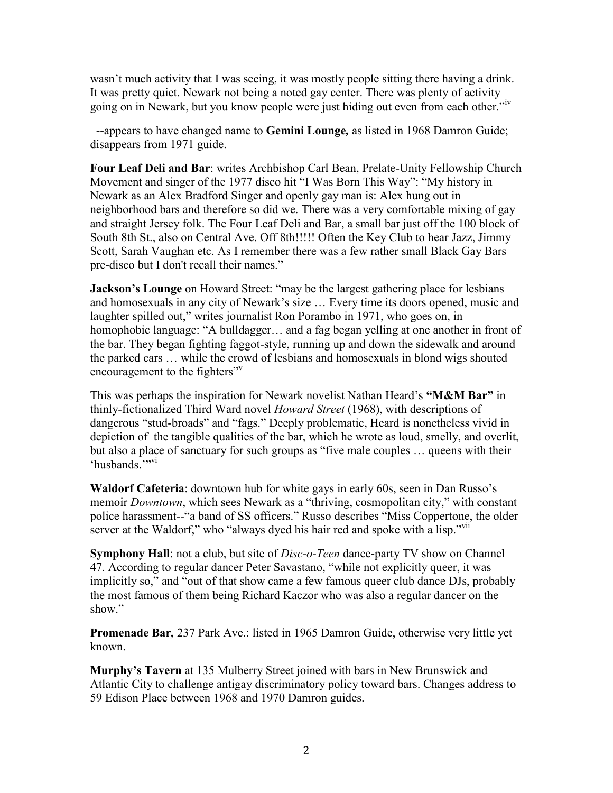wasn't much activity that I was seeing, it was mostly people sitting there having a drink. It was pretty quiet. Newark not being a noted gay center. There was plenty of activity going on in Newark, but you know people were just hiding out even from each other."iv

 --appears to have changed name to **Gemini Lounge***,* as listed in 1968 Damron Guide; disappears from 1971 guide.

**Four Leaf Deli and Bar**: writes Archbishop Carl Bean, Prelate-Unity Fellowship Church Movement and singer of the 1977 disco hit "I Was Born This Way": "My history in Newark as an Alex Bradford Singer and openly gay man is: Alex hung out in neighborhood bars and therefore so did we. There was a very comfortable mixing of gay and straight Jersey folk. The Four Leaf Deli and Bar, a small bar just off the 100 block of South 8th St., also on Central Ave. Off 8th!!!!! Often the Key Club to hear Jazz, Jimmy Scott, Sarah Vaughan etc. As I remember there was a few rather small Black Gay Bars pre-disco but I don't recall their names."

**Jackson's Lounge** on Howard Street: "may be the largest gathering place for lesbians" and homosexuals in any city of Newark's size … Every time its doors opened, music and laughter spilled out," writes journalist Ron Porambo in 1971, who goes on, in homophobic language: "A bulldagger... and a fag began yelling at one another in front of the bar. They began fighting faggot-style, running up and down the sidewalk and around the parked cars … while the crowd of lesbians and homosexuals in blond wigs shouted encouragement to the fighters<sup>"v</sup>

This was perhaps the inspiration for Newark novelist Nathan Heard's **"M&M Bar"** in thinly-fictionalized Third Ward novel *Howard Street* (1968), with descriptions of dangerous "stud-broads" and "fags." Deeply problematic, Heard is nonetheless vivid in depiction of the tangible qualities of the bar, which he wrote as loud, smelly, and overlit, but also a place of sanctuary for such groups as "five male couples … queens with their 'husbands<sup>"</sup>"

**Waldorf Cafeteria**: downtown hub for white gays in early 60s, seen in Dan Russo's memoir *Downtown*, which sees Newark as a "thriving, cosmopolitan city," with constant police harassment--"a band of SS officers." Russo describes "Miss Coppertone, the older server at the Waldorf," who "always dyed his hair red and spoke with a lisp."vii

**Symphony Hall**: not a club, but site of *Disc-o-Teen* dance-party TV show on Channel 47. According to regular dancer Peter Savastano, "while not explicitly queer, it was implicitly so," and "out of that show came a few famous queer club dance DJs, probably the most famous of them being Richard Kaczor who was also a regular dancer on the show."

**Promenade Bar***,* 237 Park Ave.: listed in 1965 Damron Guide, otherwise very little yet known.

**Murphy's Tavern** at 135 Mulberry Street joined with bars in New Brunswick and Atlantic City to challenge antigay discriminatory policy toward bars. Changes address to 59 Edison Place between 1968 and 1970 Damron guides.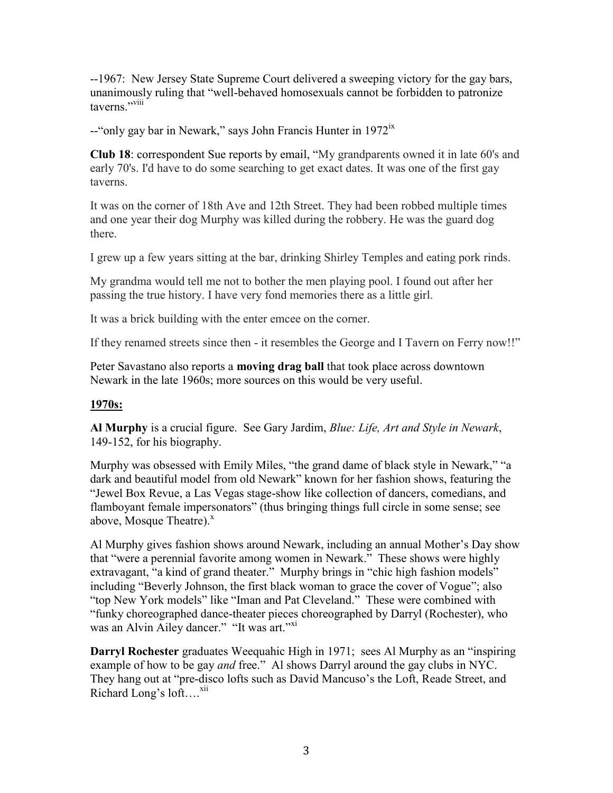--1967: New Jersey State Supreme Court delivered a sweeping victory for the gay bars, unanimously ruling that "well-behaved homosexuals cannot be forbidden to patronize taverns<sup>"</sup>

--"only gay bar in Newark," says John Francis Hunter in 1972<sup>ix</sup>

**Club 18**: correspondent Sue reports by email, "My grandparents owned it in late 60's and early 70's. I'd have to do some searching to get exact dates. It was one of the first gay taverns.

It was on the corner of 18th Ave and 12th Street. They had been robbed multiple times and one year their dog Murphy was killed during the robbery. He was the guard dog there.

I grew up a few years sitting at the bar, drinking Shirley Temples and eating pork rinds.

My grandma would tell me not to bother the men playing pool. I found out after her passing the true history. I have very fond memories there as a little girl.

It was a brick building with the enter emcee on the corner.

If they renamed streets since then - it resembles the George and I Tavern on Ferry now!!"

Peter Savastano also reports a **moving drag ball** that took place across downtown Newark in the late 1960s; more sources on this would be very useful.

# **1970s:**

**Al Murphy** is a crucial figure. See Gary Jardim, *Blue: Life, Art and Style in Newark*, 149-152, for his biography.

Murphy was obsessed with Emily Miles, "the grand dame of black style in Newark," "a dark and beautiful model from old Newark" known for her fashion shows, featuring the "Jewel Box Revue, a Las Vegas stage-show like collection of dancers, comedians, and flamboyant female impersonators" (thus bringing things full circle in some sense; see above, Mosque Theatre). $^x$ 

Al Murphy gives fashion shows around Newark, including an annual Mother's Day show that "were a perennial favorite among women in Newark." These shows were highly extravagant, "a kind of grand theater." Murphy brings in "chic high fashion models" including "Beverly Johnson, the first black woman to grace the cover of Vogue"; also "top New York models" like "Iman and Pat Cleveland." These were combined with "funky choreographed dance-theater pieces choreographed by Darryl (Rochester), who was an Alvin Ailey dancer." "It was art."<sup>XI</sup>

**Darryl Rochester** graduates Weequahic High in 1971; sees Al Murphy as an "inspiring example of how to be gay *and* free." Al shows Darryl around the gay clubs in NYC. They hang out at "pre-disco lofts such as David Mancuso's the Loft, Reade Street, and Richard Long's  $\text{loft}$ ....<sup>xii</sup>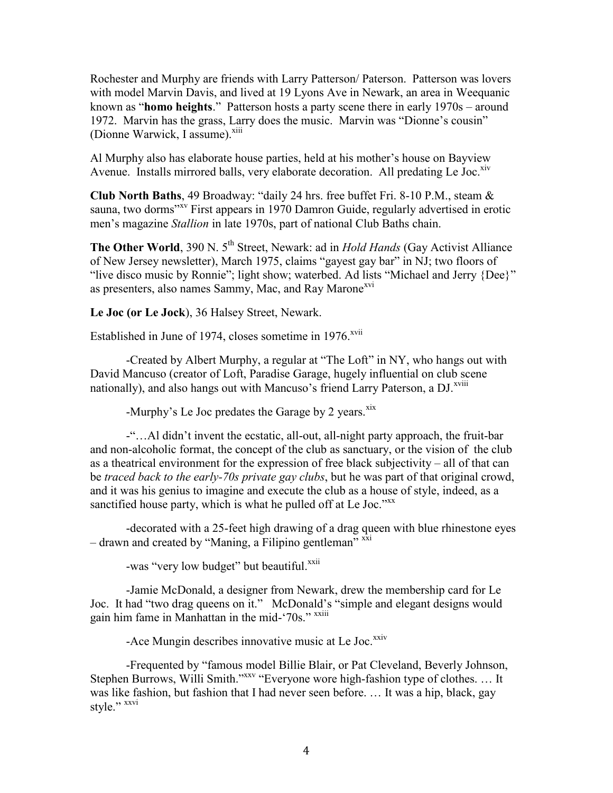Rochester and Murphy are friends with Larry Patterson/ Paterson. Patterson was lovers with model Marvin Davis, and lived at 19 Lyons Ave in Newark, an area in Weequanic known as "**homo heights**." Patterson hosts a party scene there in early 1970s – around 1972. Marvin has the grass, Larry does the music. Marvin was "Dionne's cousin" (Dionne Warwick, I assume).<sup>xiii</sup>

Al Murphy also has elaborate house parties, held at his mother's house on Bayview Avenue. Installs mirrored balls, very elaborate decoration. All predating Le Joc. $\frac{\text{XIV}}{\text{XIV}}$ 

**Club North Baths**, 49 Broadway: "daily 24 hrs. free buffet Fri. 8-10 P.M., steam & sauna, two dorms<sup>"xv</sup> First appears in 1970 Damron Guide, regularly advertised in erotic men's magazine *Stallion* in late 1970s, part of national Club Baths chain.

**The Other World**, 390 N. 5<sup>th</sup> Street, Newark: ad in *Hold Hands* (Gay Activist Alliance) of New Jersey newsletter), March 1975, claims "gayest gay bar" in NJ; two floors of "live disco music by Ronnie"; light show; waterbed. Ad lists "Michael and Jerry {Dee}" as presenters, also names Sammy, Mac, and Ray Marone<sup>xvi</sup>

**Le Joc (or Le Jock**), 36 Halsey Street, Newark.

Established in June of 1974, closes sometime in 1976.<sup>xvii</sup>

-Created by Albert Murphy, a regular at "The Loft" in NY, who hangs out with David Mancuso (creator of Loft, Paradise Garage, hugely influential on club scene nationally), and also hangs out with Mancuso's friend Larry Paterson, a DJ.<sup>xviii</sup>

-Murphy's Le Joc predates the Garage by 2 years. $x$ ix

-"…Al didn't invent the ecstatic, all-out, all-night party approach, the fruit-bar and non-alcoholic format, the concept of the club as sanctuary, or the vision of the club as a theatrical environment for the expression of free black subjectivity – all of that can be *traced back to the early-70s private gay clubs*, but he was part of that original crowd, and it was his genius to imagine and execute the club as a house of style, indeed, as a sanctified house party, which is what he pulled off at Le Joc."XX

-decorated with a 25-feet high drawing of a drag queen with blue rhinestone eyes – drawn and created by "Maning, a Filipino gentleman"  $\overline{x}$ <sup>xxi</sup>

-was "very low budget" but beautiful.<sup>xxii</sup>

-Jamie McDonald, a designer from Newark, drew the membership card for Le Joc. It had "two drag queens on it." McDonald's "simple and elegant designs would gain him fame in Manhattan in the mid-'70s." xxiii

-Ace Mungin describes innovative music at Le Joc. $\frac{xxiv}{ }$ 

-Frequented by "famous model Billie Blair, or Pat Cleveland, Beverly Johnson, Stephen Burrows, Willi Smith."<sup>XXV</sup> "Everyone wore high-fashion type of clothes. ... It was like fashion, but fashion that I had never seen before. … It was a hip, black, gay style." xxvi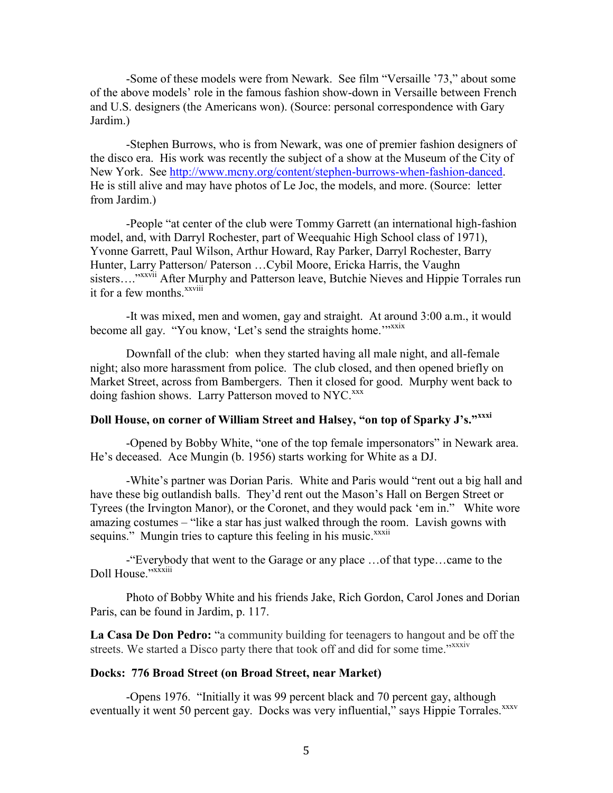-Some of these models were from Newark. See film "Versaille '73," about some of the above models' role in the famous fashion show-down in Versaille between French and U.S. designers (the Americans won). (Source: personal correspondence with Gary Jardim.)

-Stephen Burrows, who is from Newark, was one of premier fashion designers of the disco era. His work was recently the subject of a show at the Museum of the City of New York. See [http://www.mcny.org/content/stephen-burrows-when-fashion-danced.](http://www.mcny.org/content/stephen-burrows-when-fashion-danced) He is still alive and may have photos of Le Joc, the models, and more. (Source: letter from Jardim.)

-People "at center of the club were Tommy Garrett (an international high-fashion model, and, with Darryl Rochester, part of Weequahic High School class of 1971), Yvonne Garrett, Paul Wilson, Arthur Howard, Ray Parker, Darryl Rochester, Barry Hunter, Larry Patterson/ Paterson …Cybil Moore, Ericka Harris, the Vaughn sisters...."xxvii After Murphy and Patterson leave, Butchie Nieves and Hippie Torrales run it for a few months.<sup>xxviii</sup>

-It was mixed, men and women, gay and straight. At around 3:00 a.m., it would become all gay. "You know, 'Let's send the straights home."<sup>xxxix</sup>

Downfall of the club: when they started having all male night, and all-female night; also more harassment from police. The club closed, and then opened briefly on Market Street, across from Bambergers. Then it closed for good. Murphy went back to doing fashion shows. Larry Patterson moved to NYC.<sup>xxx</sup>

# **Doll House, on corner of William Street and Halsey, "on top of Sparky J's."xxxi**

-Opened by Bobby White, "one of the top female impersonators" in Newark area. He's deceased. Ace Mungin (b. 1956) starts working for White as a DJ.

-White's partner was Dorian Paris. White and Paris would "rent out a big hall and have these big outlandish balls. They'd rent out the Mason's Hall on Bergen Street or Tyrees (the Irvington Manor), or the Coronet, and they would pack 'em in." White wore amazing costumes – "like a star has just walked through the room. Lavish gowns with sequins." Mungin tries to capture this feeling in his music.<sup>xxxii</sup>

-"Everybody that went to the Garage or any place …of that type…came to the Doll House."xxxiii

Photo of Bobby White and his friends Jake, Rich Gordon, Carol Jones and Dorian Paris, can be found in Jardim, p. 117.

**La Casa De Don Pedro:** "a community building for teenagers to hangout and be off the streets. We started a Disco party there that took off and did for some time."*xxxiv* 

#### **Docks: 776 Broad Street (on Broad Street, near Market)**

-Opens 1976. "Initially it was 99 percent black and 70 percent gay, although eventually it went 50 percent gay. Docks was very influential," says Hippie Torrales.<sup>xxxv</sup>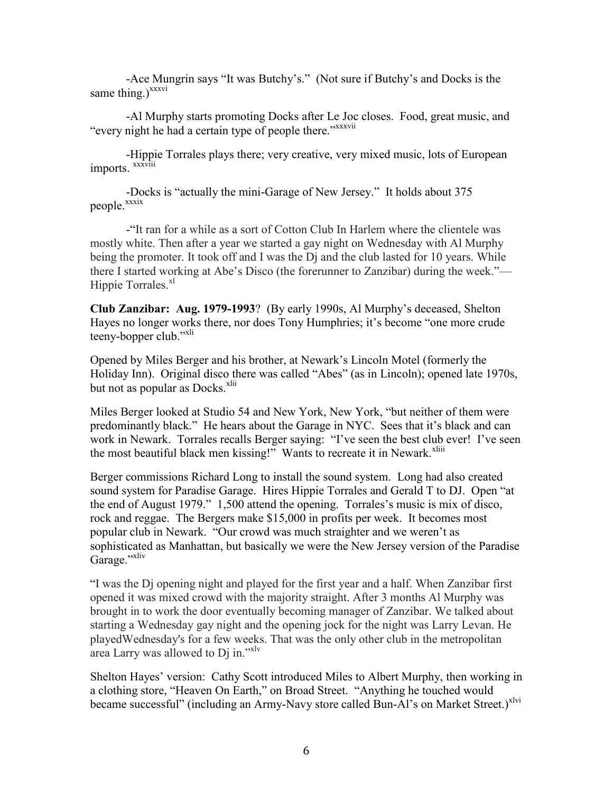-Ace Mungrin says "It was Butchy's." (Not sure if Butchy's and Docks is the same thing.) $^{xxxxvi}$ 

-Al Murphy starts promoting Docks after Le Joc closes. Food, great music, and "every night he had a certain type of people there."<sup>xxxxvii</sup>

-Hippie Torrales plays there; very creative, very mixed music, lots of European imports. <sup>xxxviii</sup>

-Docks is "actually the mini-Garage of New Jersey." It holds about 375 people.<sup>xxxix</sup>

-"It ran for a while as a sort of Cotton Club In Harlem where the clientele was mostly white. Then after a year we started a gay night on Wednesday with Al Murphy being the promoter. It took off and I was the D<sub>I</sub> and the club lasted for 10 years. While there I started working at Abe's Disco (the forerunner to Zanzibar) during the week."— Hippie Torrales.<sup>xl</sup>

**Club Zanzibar: Aug. 1979-1993**? (By early 1990s, Al Murphy's deceased, Shelton Hayes no longer works there, nor does Tony Humphries; it's become "one more crude teeny-bopper club."<sup>xli</sup>

Opened by Miles Berger and his brother, at Newark's Lincoln Motel (formerly the Holiday Inn). Original disco there was called "Abes" (as in Lincoln); opened late 1970s, but not as popular as Docks. $x$ lii

Miles Berger looked at Studio 54 and New York, New York, "but neither of them were predominantly black." He hears about the Garage in NYC. Sees that it's black and can work in Newark. Torrales recalls Berger saying: "I've seen the best club ever! I've seen the most beautiful black men kissing!" Wants to recreate it in Newark.<sup>xliii</sup>

Berger commissions Richard Long to install the sound system. Long had also created sound system for Paradise Garage. Hires Hippie Torrales and Gerald T to DJ. Open "at the end of August 1979." 1,500 attend the opening. Torrales's music is mix of disco, rock and reggae. The Bergers make \$15,000 in profits per week. It becomes most popular club in Newark. "Our crowd was much straighter and we weren't as sophisticated as Manhattan, but basically we were the New Jersey version of the Paradise Garage."xliv

"I was the Dj opening night and played for the first year and a half. When Zanzibar first opened it was mixed crowd with the majority straight. After 3 months Al Murphy was brought in to work the door eventually becoming manager of Zanzibar. We talked about starting a Wednesday gay night and the opening jock for the night was Larry Levan. He playedWednesday's for a few weeks. That was the only other club in the metropolitan area Larry was allowed to Dj in."xlv

Shelton Hayes' version: Cathy Scott introduced Miles to Albert Murphy, then working in a clothing store, "Heaven On Earth," on Broad Street. "Anything he touched would became successful" (including an Army-Navy store called Bun-Al's on Market Street.)<sup>xlvi</sup>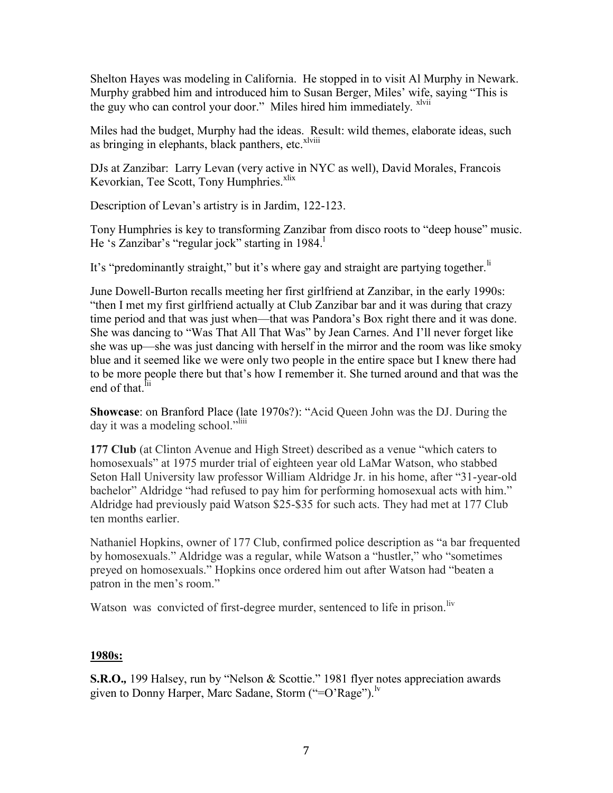Shelton Hayes was modeling in California. He stopped in to visit Al Murphy in Newark. Murphy grabbed him and introduced him to Susan Berger, Miles' wife, saying "This is the guy who can control your door." Miles hired him immediately. xlvii

Miles had the budget, Murphy had the ideas. Result: wild themes, elaborate ideas, such as bringing in elephants, black panthers, etc.<sup>xlviii</sup>

DJs at Zanzibar: Larry Levan (very active in NYC as well), David Morales, Francois Kevorkian, Tee Scott, Tony Humphries.<sup>xlix</sup>

Description of Levan's artistry is in Jardim, 122-123.

Tony Humphries is key to transforming Zanzibar from disco roots to "deep house" music. He 's Zanzibar's "regular jock" starting in 1984.

It's "predominantly straight," but it's where gay and straight are partying together.<sup>li</sup>

June Dowell-Burton recalls meeting her first girlfriend at Zanzibar, in the early 1990s: "then I met my first girlfriend actually at Club Zanzibar bar and it was during that crazy time period and that was just when—that was Pandora's Box right there and it was done. She was dancing to "Was That All That Was" by Jean Carnes. And I'll never forget like she was up—she was just dancing with herself in the mirror and the room was like smoky blue and it seemed like we were only two people in the entire space but I knew there had to be more people there but that's how I remember it. She turned around and that was the end of that.<sup>fii</sup>

**Showcase**: on Branford Place (late 1970s?): "Acid Queen John was the DJ. During the day it was a modeling school."<sup>liii</sup>

**177 Club** (at Clinton Avenue and High Street) described as a venue "which caters to homosexuals" at 1975 murder trial of eighteen year old LaMar Watson, who stabbed Seton Hall University law professor William Aldridge Jr. in his home, after "31-year-old bachelor" Aldridge "had refused to pay him for performing homosexual acts with him." Aldridge had previously paid Watson \$25-\$35 for such acts. They had met at 177 Club ten months earlier.

Nathaniel Hopkins, owner of 177 Club, confirmed police description as "a bar frequented by homosexuals." Aldridge was a regular, while Watson a "hustler," who "sometimes preyed on homosexuals." Hopkins once ordered him out after Watson had "beaten a patron in the men's room."

Watson was convicted of first-degree murder, sentenced to life in prison.<sup>liv</sup>

# **1980s:**

**S.R.O.***,* 199 Halsey, run by "Nelson & Scottie." 1981 flyer notes appreciation awards given to Donny Harper, Marc Sadane, Storm ("=O'Rage").<sup>1v</sup>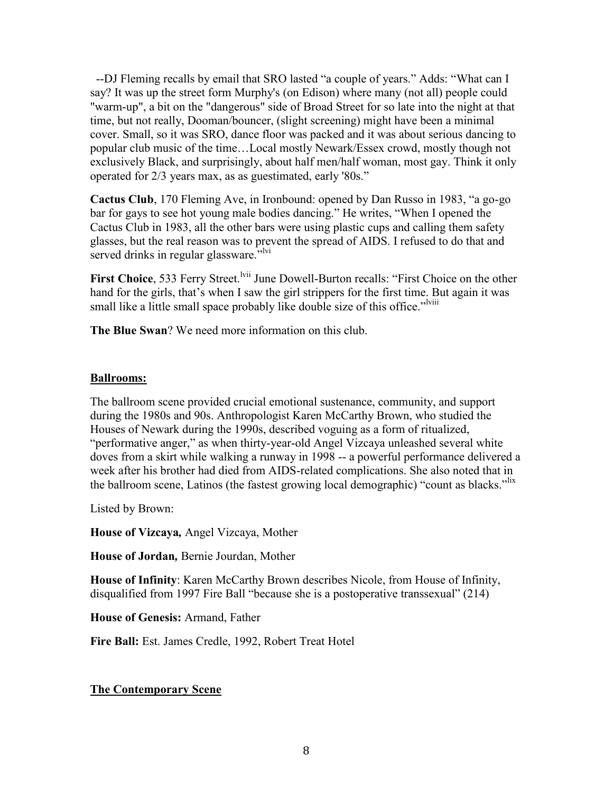--DJ Fleming recalls by email that SRO lasted "a couple of years." Adds: "What can I say? It was up the street form Murphy's (on Edison) where many (not all) people could "warm-up", a bit on the "dangerous" side of Broad Street for so late into the night at that time, but not really, Dooman/bouncer, (slight screening) might have been a minimal cover. Small, so it was SRO, dance floor was packed and it was about serious dancing to popular club music of the time…Local mostly Newark/Essex crowd, mostly though not exclusively Black, and surprisingly, about half men/half woman, most gay. Think it only operated for 2/3 years max, as as guestimated, early '80s."

**Cactus Club**, 170 Fleming Ave, in Ironbound: opened by Dan Russo in 1983, "a go-go bar for gays to see hot young male bodies dancing." He writes, "When I opened the Cactus Club in 1983, all the other bars were using plastic cups and calling them safety glasses, but the real reason was to prevent the spread of AIDS. I refused to do that and served drinks in regular glassware."<sup>Ivi</sup>

First Choice, 533 Ferry Street.<sup>Ivii</sup> June Dowell-Burton recalls: "First Choice on the other hand for the girls, that's when I saw the girl strippers for the first time. But again it was small like a little small space probably like double size of this office."<sup>Iviii</sup>

**The Blue Swan**? We need more information on this club.

### **Ballrooms:**

The ballroom scene provided crucial emotional sustenance, community, and support during the 1980s and 90s. Anthropologist Karen McCarthy Brown, who studied the Houses of Newark during the 1990s, described voguing as a form of ritualized, "performative anger," as when thirty-year-old Angel Vizcaya unleashed several white doves from a skirt while walking a runway in 1998 -- a powerful performance delivered a week after his brother had died from AIDS-related complications. She also noted that in the ballroom scene, Latinos (the fastest growing local demographic) "count as blacks."lix

Listed by Brown:

**House of Vizcaya***,* Angel Vizcaya, Mother

**House of Jordan***,* Bernie Jourdan, Mother

**House of Infinity**: Karen McCarthy Brown describes Nicole, from House of Infinity, disqualified from 1997 Fire Ball "because she is a postoperative transsexual" (214)

**House of Genesis:** Armand, Father

**Fire Ball:** Est. James Credle, 1992, Robert Treat Hotel

# **The Contemporary Scene**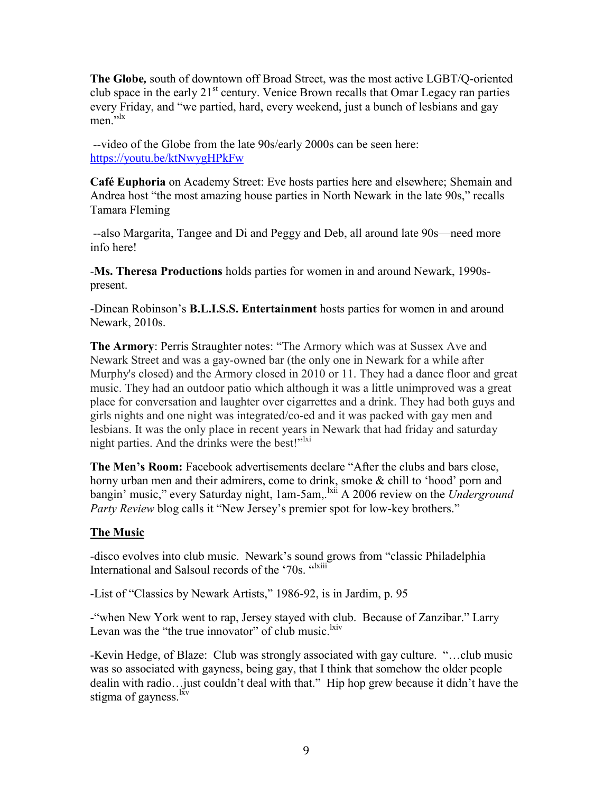**The Globe***,* south of downtown off Broad Street, was the most active LGBT/Q-oriented club space in the early  $21<sup>st</sup>$  century. Venice Brown recalls that Omar Legacy ran parties every Friday, and "we partied, hard, every weekend, just a bunch of lesbians and gay men<sup>'</sup>

--video of the Globe from the late 90s/early 2000s can be seen here: <https://youtu.be/ktNwygHPkFw>

**Café Euphoria** on Academy Street: Eve hosts parties here and elsewhere; Shemain and Andrea host "the most amazing house parties in North Newark in the late 90s," recalls Tamara Fleming

--also Margarita, Tangee and Di and Peggy and Deb, all around late 90s—need more info here!

-**Ms. Theresa Productions** holds parties for women in and around Newark, 1990spresent.

-Dinean Robinson's **B.L.I.S.S. Entertainment** hosts parties for women in and around Newark, 2010s.

**The Armory**: Perris Straughter notes: "The Armory which was at Sussex Ave and Newark Street and was a gay-owned bar (the only one in Newark for a while after Murphy's closed) and the Armory closed in 2010 or 11. They had a dance floor and great music. They had an outdoor patio which although it was a little unimproved was a great place for conversation and laughter over cigarrettes and a drink. They had both guys and girls nights and one night was integrated/co-ed and it was packed with gay men and lesbians. It was the only place in recent years in Newark that had friday and saturday night parties. And the drinks were the best!" $\frac{1}{1}$ 

**The Men's Room:** Facebook advertisements declare "After the clubs and bars close, horny urban men and their admirers, come to drink, smoke & chill to 'hood' porn and bangin' music," every Saturday night, 1am-5am,.<sup>lxii</sup> A 2006 review on the *Underground Party Review* blog calls it "New Jersey's premier spot for low-key brothers."

# **The Music**

-disco evolves into club music. Newark's sound grows from "classic Philadelphia International and Salsoul records of the '70s. "lxiii"

-List of "Classics by Newark Artists," 1986-92, is in Jardim, p. 95

-"when New York went to rap, Jersey stayed with club. Because of Zanzibar." Larry Levan was the "the true innovator" of club music.  $\frac{div}{div}$ 

-Kevin Hedge, of Blaze: Club was strongly associated with gay culture. "…club music was so associated with gayness, being gay, that I think that somehow the older people dealin with radio…just couldn't deal with that." Hip hop grew because it didn't have the stigma of gayness.<sup>lxv</sup>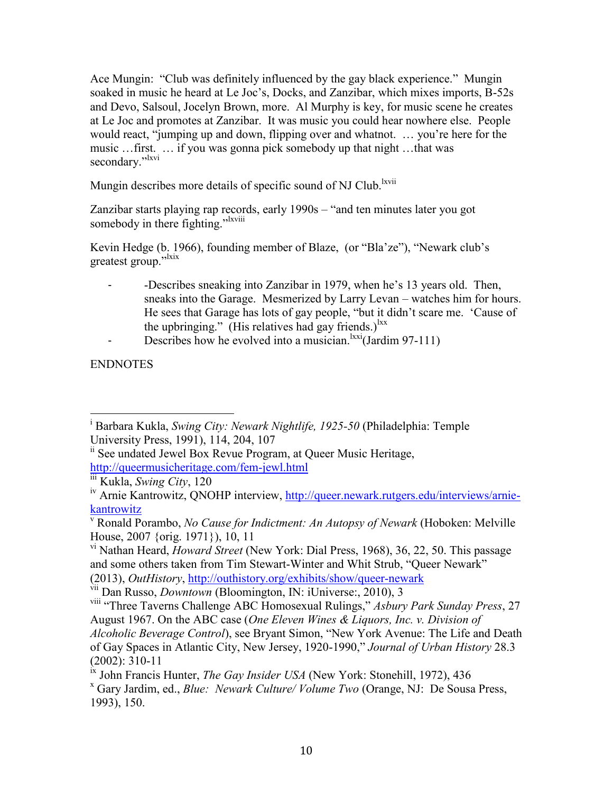Ace Mungin: "Club was definitely influenced by the gay black experience." Mungin soaked in music he heard at Le Joc's, Docks, and Zanzibar, which mixes imports, B-52s and Devo, Salsoul, Jocelyn Brown, more. Al Murphy is key, for music scene he creates at Le Joc and promotes at Zanzibar. It was music you could hear nowhere else. People would react, "jumping up and down, flipping over and whatnot. … you're here for the music …first. … if you was gonna pick somebody up that night …that was secondary."<sup>lxvi</sup>

Mungin describes more details of specific sound of NJ Club.<sup>lxvii</sup>

Zanzibar starts playing rap records, early 1990s – "and ten minutes later you got somebody in there fighting."<sup>Ixviii</sup>

Kevin Hedge (b. 1966), founding member of Blaze, (or "Bla'ze"), "Newark club's greatest group."<sup>1xix</sup>

- -Describes sneaking into Zanzibar in 1979, when he's 13 years old. Then, sneaks into the Garage. Mesmerized by Larry Levan – watches him for hours. He sees that Garage has lots of gay people, "but it didn't scare me. 'Cause of the upbringing." (His relatives had gay friends.)<sup>lxx</sup>
- Describes how he evolved into a musician. $\frac{lxxi}{l}$  (Jardim 97-111)

ENDNOTES

 $\overline{\phantom{a}}$ <sup>i</sup> Barbara Kukla, *Swing City: Newark Nightlife, 1925-50* (Philadelphia: Temple University Press, 1991), 114, 204, 107

<sup>&</sup>lt;sup>ii</sup> See undated Jewel Box Revue Program, at Queer Music Heritage, <http://queermusicheritage.com/fem-jewl.html>

iii Kukla, *Swing City*, 120

<sup>&</sup>lt;sup>iv</sup> Arnie Kantrowitz, QNOHP interview, [http://queer.newark.rutgers.edu/interviews/arnie](http://queer.newark.rutgers.edu/interviews/arnie-kantrowitz)[kantrowitz](http://queer.newark.rutgers.edu/interviews/arnie-kantrowitz)

Ronald Porambo, *No Cause for Indictment: An Autopsy of Newark* (Hoboken: Melville House, 2007 {orig. 1971}), 10, 11

vi Nathan Heard, *Howard Street* (New York: Dial Press, 1968), 36, 22, 50. This passage and some others taken from Tim Stewart-Winter and Whit Strub, "Queer Newark" (2013), *OutHistory*,<http://outhistory.org/exhibits/show/queer-newark>

vii Dan Russo, *Downtown* (Bloomington, IN: iUniverse:, 2010), 3

viii "Three Taverns Challenge ABC Homosexual Rulings," *Asbury Park Sunday Press*, 27 August 1967. On the ABC case (*One Eleven Wines & Liquors, Inc. v. Division of* 

*Alcoholic Beverage Control*), see Bryant Simon, "New York Avenue: The Life and Death of Gay Spaces in Atlantic City, New Jersey, 1920-1990," *Journal of Urban History* 28.3 (2002): 310-11

ix John Francis Hunter, *The Gay Insider USA* (New York: Stonehill, 1972), 436

<sup>x</sup> Gary Jardim, ed., *Blue: Newark Culture/ Volume Two* (Orange, NJ: De Sousa Press, 1993), 150.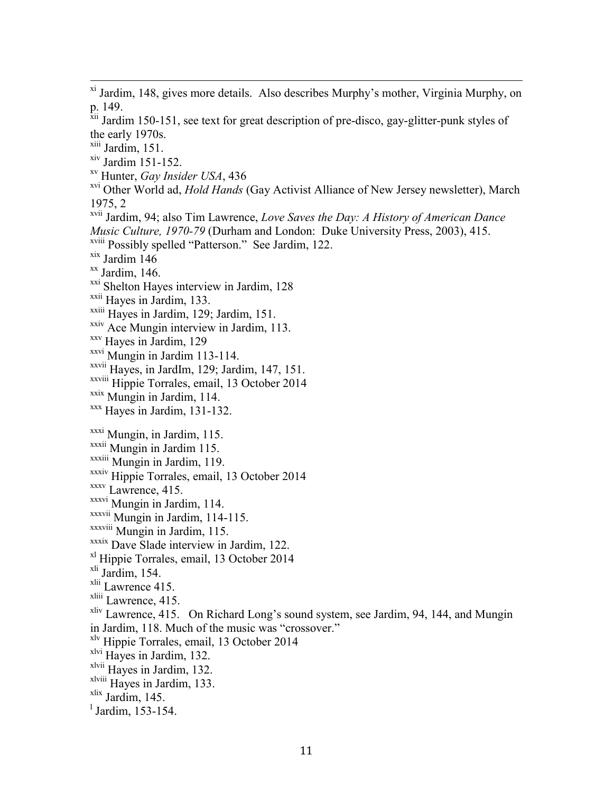<sup>xi</sup> Jardim, 148, gives more details. Also describes Murphy's mother, Virginia Murphy, on p. 149.

<sup>xii</sup> Jardim 150-151, see text for great description of pre-disco, gay-glitter-punk styles of the early 1970s.

xiii Jardim, 151.

 $\overline{\phantom{a}}$ 

 $xiv$  Jardim 151-152.

xv Hunter, *Gay Insider USA*, 436

xvi Other World ad, *Hold Hands* (Gay Activist Alliance of New Jersey newsletter), March 1975, 2

xvii Jardim, 94; also Tim Lawrence, *Love Saves the Day: A History of American Dance Music Culture, 1970-79* (Durham and London: Duke University Press, 2003), 415.

xviii Possibly spelled "Patterson." See Jardim, 122.

 $x$ <sup>xix</sup> Jardim 146

 $\frac{xx}{x}$  Jardim, 146.

xxi Shelton Hayes interview in Jardim, 128

xxii Hayes in Jardim, 133.

xxiii Hayes in Jardim, 129; Jardim, 151.

<sup>xxiv</sup> Ace Mungin interview in Jardim, 113.

xxv Hayes in Jardim, 129

xxvi Mungin in Jardim 113-114.

xxvii Hayes, in JardIm, 129; Jardim, 147, 151.

xxviii Hippie Torrales, email, 13 October 2014

xxix Mungin in Jardim, 114.

xxx Hayes in Jardim, 131-132.

xxxi Mungin, in Jardim, 115.

xxxii Mungin in Jardim 115.

xxxiii Mungin in Jardim, 119.

xxxiv Hippie Torrales, email, 13 October 2014

xxxv Lawrence, 415.

xxxvi Mungin in Jardim, 114.

 $\overline{\text{xxxvii}}$  Mungin in Jardim, 114-115.

xxxviii Mungin in Jardim, 115.

xxxix Dave Slade interview in Jardim, 122.

xl Hippie Torrales, email, 13 October 2014

<sup>xli</sup> Jardim, 154.

xlii Lawrence 415.

<sup>xliii</sup> Lawrence, 415.

xliv Lawrence, 415. On Richard Long's sound system, see Jardim, 94, 144, and Mungin in Jardim, 118. Much of the music was "crossover."

xlv Hippie Torrales, email, 13 October 2014

xlvi Hayes in Jardim, 132.

xlvii Hayes in Jardim, 132.

xlviii Hayes in Jardim, 133.

 $x$ lix Jardim, 145.

l Jardim, 153-154.